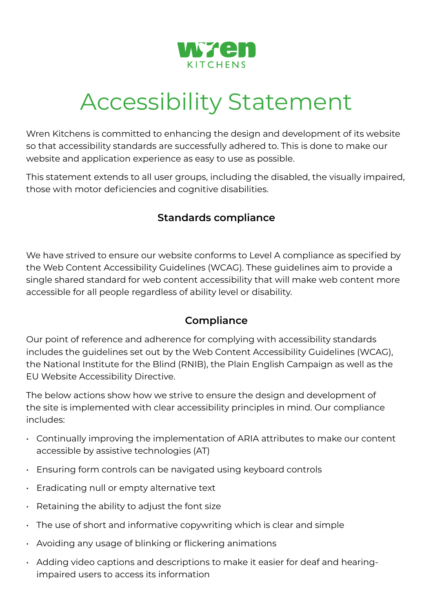

# Accessibility Statement

Wren Kitchens is committed to enhancing the design and development of its website so that accessibility standards are successfully adhered to. This is done to make our website and application experience as easy to use as possible.

This statement extends to all user groups, including the disabled, the visually impaired, those with motor deficiencies and cognitive disabilities.

#### **Standards compliance**

We have strived to ensure our website conforms to Level A compliance as specified by the Web Content Accessibility Guidelines (WCAG). These guidelines aim to provide a single shared standard for web content accessibility that will make web content more accessible for all people regardless of ability level or disability.

#### **Compliance**

Our point of reference and adherence for complying with accessibility standards includes the guidelines set out by the Web Content Accessibility Guidelines (WCAG), the National Institute for the Blind (RNIB), the Plain English Campaign as well as the EU Website Accessibility Directive.

The below actions show how we strive to ensure the design and development of the site is implemented with clear accessibility principles in mind. Our compliance includes:

- Continually improving the implementation of ARIA attributes to make our content accessible by assistive technologies (AT)
- Ensuring form controls can be navigated using keyboard controls
- Eradicating null or empty alternative text
- $\cdot$  Retaining the ability to adjust the font size
- The use of short and informative copywriting which is clear and simple
- Avoiding any usage of blinking or flickering animations
- Adding video captions and descriptions to make it easier for deaf and hearingimpaired users to access its information